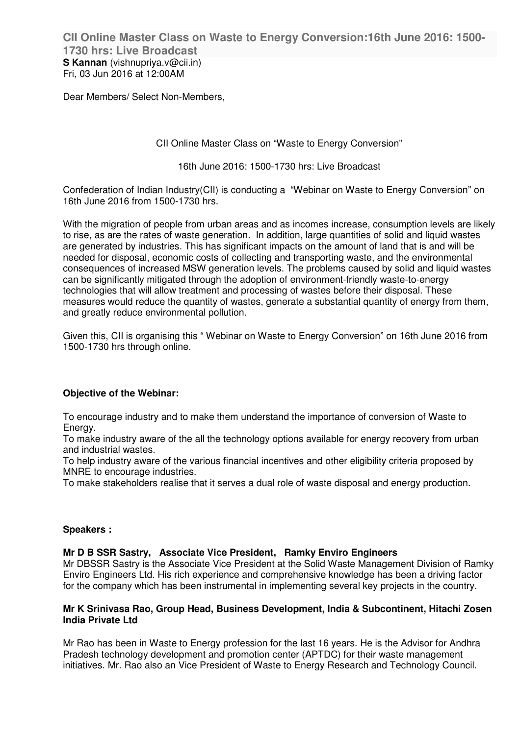**CII Online Master Class on Waste to Energy Conversion:16th June 2016: 1500- 1730 hrs: Live Broadcast S Kannan** (vishnupriya.v@cii.in) Fri, 03 Jun 2016 at 12:00AM

Dear Members/ Select Non-Members,

CII Online Master Class on "Waste to Energy Conversion"

16th June 2016: 1500-1730 hrs: Live Broadcast

Confederation of Indian Industry(CII) is conducting a "Webinar on Waste to Energy Conversion" on 16th June 2016 from 1500-1730 hrs.

With the migration of people from urban areas and as incomes increase, consumption levels are likely to rise, as are the rates of waste generation. In addition, large quantities of solid and liquid wastes are generated by industries. This has significant impacts on the amount of land that is and will be needed for disposal, economic costs of collecting and transporting waste, and the environmental consequences of increased MSW generation levels. The problems caused by solid and liquid wastes can be significantly mitigated through the adoption of environment-friendly waste-to-energy technologies that will allow treatment and processing of wastes before their disposal. These measures would reduce the quantity of wastes, generate a substantial quantity of energy from them, and greatly reduce environmental pollution.

Given this, CII is organising this " Webinar on Waste to Energy Conversion" on 16th June 2016 from 1500-1730 hrs through online.

## **Objective of the Webinar:**

To encourage industry and to make them understand the importance of conversion of Waste to Energy.

To make industry aware of the all the technology options available for energy recovery from urban and industrial wastes.

To help industry aware of the various financial incentives and other eligibility criteria proposed by MNRE to encourage industries.

To make stakeholders realise that it serves a dual role of waste disposal and energy production.

### **Speakers :**

### **Mr D B SSR Sastry, Associate Vice President, Ramky Enviro Engineers**

Mr DBSSR Sastry is the Associate Vice President at the Solid Waste Management Division of Ramky Enviro Engineers Ltd. His rich experience and comprehensive knowledge has been a driving factor for the company which has been instrumental in implementing several key projects in the country.

### **Mr K Srinivasa Rao, Group Head, Business Development, India & Subcontinent, Hitachi Zosen India Private Ltd**

Mr Rao has been in Waste to Energy profession for the last 16 years. He is the Advisor for Andhra Pradesh technology development and promotion center (APTDC) for their waste management initiatives. Mr. Rao also an Vice President of Waste to Energy Research and Technology Council.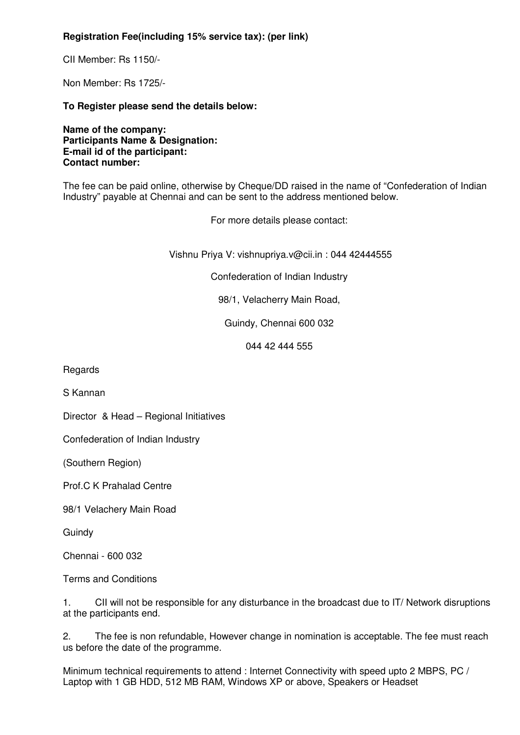# **Registration Fee(including 15% service tax): (per link)**

CII Member: Rs 1150/-

Non Member: Rs 1725/-

**To Register please send the details below:**

**Name of the company: Participants Name & Designation: E-mail id of the participant: Contact number:**

The fee can be paid online, otherwise by Cheque/DD raised in the name of "Confederation of Indian Industry" payable at Chennai and can be sent to the address mentioned below.

For more details please contact:

Vishnu Priya V: vishnupriya.v@cii.in : 044 42444555

Confederation of Indian Industry

98/1, Velacherry Main Road,

Guindy, Chennai 600 032

044 42 444 555

**Regards** 

S Kannan

Director & Head – Regional Initiatives

Confederation of Indian Industry

(Southern Region)

Prof.C K Prahalad Centre

98/1 Velachery Main Road

**Guindy** 

Chennai - 600 032

Terms and Conditions

1. CII will not be responsible for any disturbance in the broadcast due to IT/ Network disruptions at the participants end.

2. The fee is non refundable, However change in nomination is acceptable. The fee must reach us before the date of the programme.

Minimum technical requirements to attend : Internet Connectivity with speed upto 2 MBPS, PC / Laptop with 1 GB HDD, 512 MB RAM, Windows XP or above, Speakers or Headset